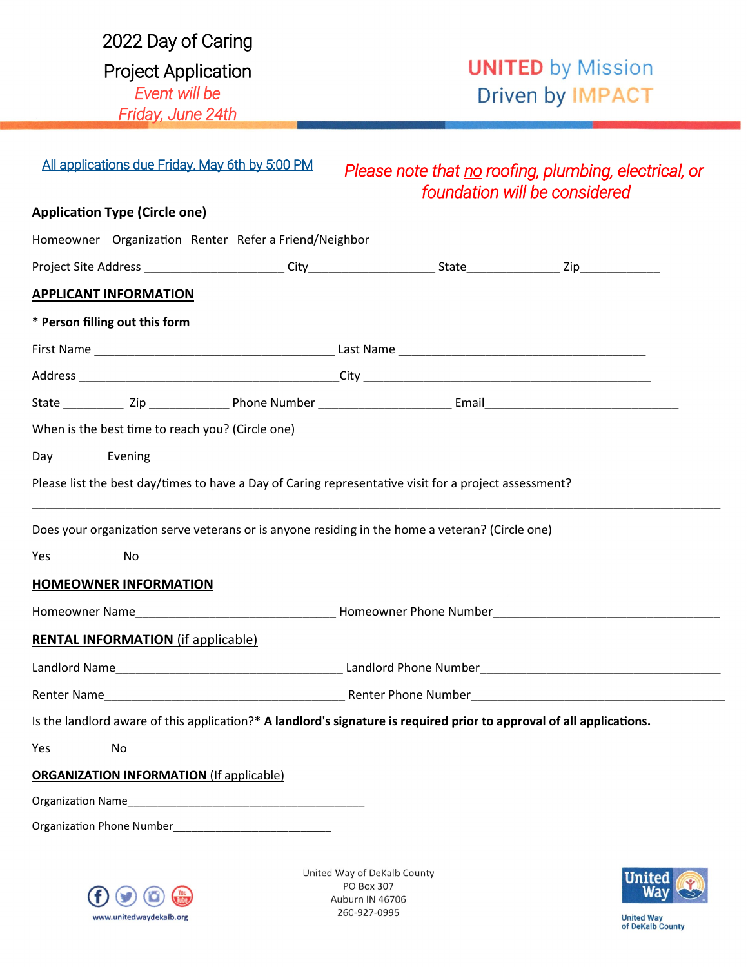| 2022 Day of Caring         |
|----------------------------|
| <b>Project Application</b> |
| Event will be              |
| Friday, June 24th          |
|                            |

# **UNITED** by Mission Driven by IMPACT

| All applications due Friday, May 6th by 5:00 PM                                                       | Please note that no roofing, plumbing, electrical, or<br>foundation will be considered                                |
|-------------------------------------------------------------------------------------------------------|-----------------------------------------------------------------------------------------------------------------------|
| <b>Application Type (Circle one)</b>                                                                  |                                                                                                                       |
| Homeowner Organization Renter Refer a Friend/Neighbor                                                 |                                                                                                                       |
|                                                                                                       |                                                                                                                       |
| <b>APPLICANT INFORMATION</b>                                                                          |                                                                                                                       |
| * Person filling out this form                                                                        |                                                                                                                       |
|                                                                                                       |                                                                                                                       |
|                                                                                                       |                                                                                                                       |
|                                                                                                       |                                                                                                                       |
| When is the best time to reach you? (Circle one)                                                      |                                                                                                                       |
| Evening<br>Day and the Day and the United States                                                      |                                                                                                                       |
| Please list the best day/times to have a Day of Caring representative visit for a project assessment? |                                                                                                                       |
| Does your organization serve veterans or is anyone residing in the home a veteran? (Circle one)       |                                                                                                                       |
| Yes<br>No                                                                                             |                                                                                                                       |
| <b>HOMEOWNER INFORMATION</b>                                                                          |                                                                                                                       |
|                                                                                                       |                                                                                                                       |
| <b>RENTAL INFORMATION</b> (if applicable)                                                             |                                                                                                                       |
|                                                                                                       |                                                                                                                       |
|                                                                                                       |                                                                                                                       |
|                                                                                                       | Is the landlord aware of this application?* A landlord's signature is required prior to approval of all applications. |
| Yes<br>No                                                                                             |                                                                                                                       |
| <b>ORGANIZATION INFORMATION (If applicable)</b>                                                       |                                                                                                                       |
|                                                                                                       |                                                                                                                       |
| Organization Phone Number <b>Sandware Structure Contains and Structure Contains</b>                   |                                                                                                                       |
|                                                                                                       |                                                                                                                       |
|                                                                                                       | United Way of DeKalb County<br>United 6                                                                               |



PO Box 307 Auburn IN 46706 260-927-0995



**United Way<br>of DeKaib County**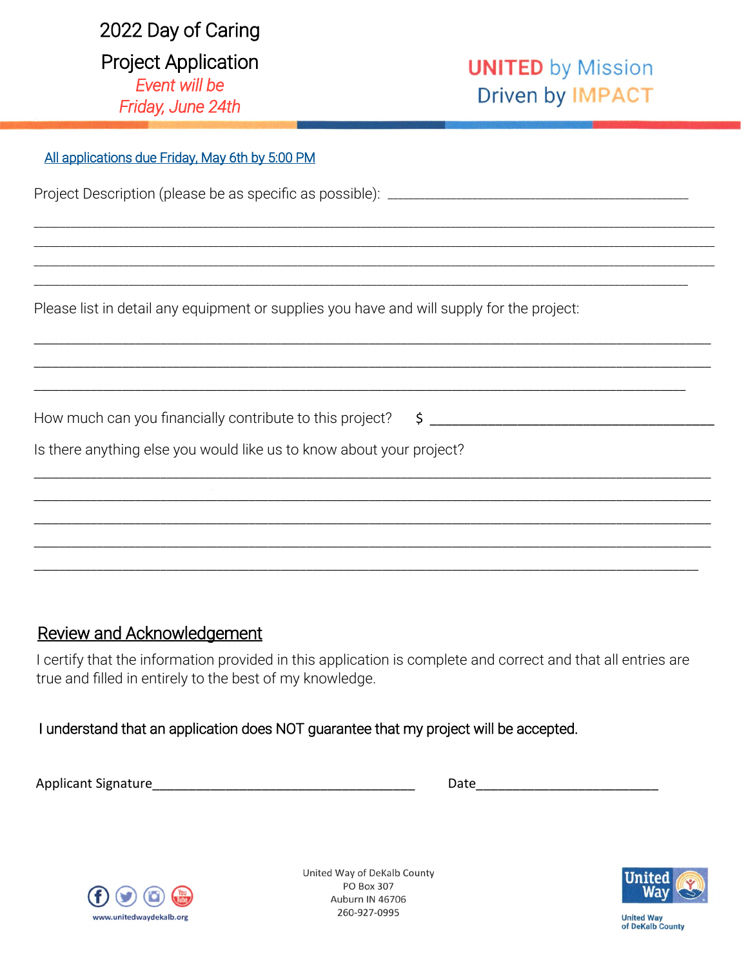| 2022 Day of Caring         |
|----------------------------|
| <b>Project Application</b> |
| Event will be              |
| Friday, June 24th          |

# **UNITED** by Mission **Driven by IMPACT**

| All applications due Friday, May 6th by 5:00 PM                                           |
|-------------------------------------------------------------------------------------------|
|                                                                                           |
|                                                                                           |
|                                                                                           |
| Please list in detail any equipment or supplies you have and will supply for the project: |
|                                                                                           |
|                                                                                           |
| How much can you financially contribute to this project? \$ ______________________        |
| Is there anything else you would like us to know about your project?                      |
|                                                                                           |
|                                                                                           |
|                                                                                           |
|                                                                                           |

### **Review and Acknowledgement**

I certify that the information provided in this application is complete and correct and that all entries are true and filled in entirely to the best of my knowledge.

#### I understand that an application does NOT guarantee that my project will be accepted.

Date and the contract of the contract of the contract of the contract of the contract of the contract of the contract of the contract of the contract of the contract of the contract of the contract of the contract of the c



United Way of DeKalb County PO Box 307 Auburn IN 46706 260-927-0995



**United Way<br>of DeKaib County**